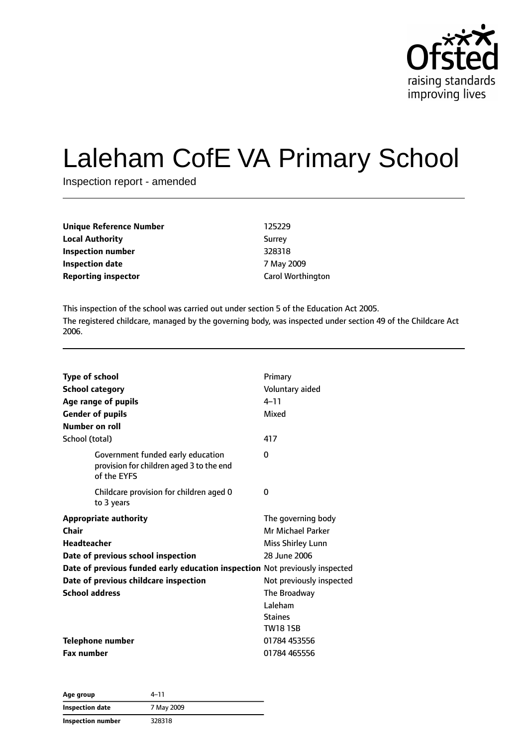

# Laleham CofE VA Primary School

Inspection report - amended

| Unique Reference Number    | 125229                   |
|----------------------------|--------------------------|
| <b>Local Authority</b>     | Surrey                   |
| <b>Inspection number</b>   | 328318                   |
| <b>Inspection date</b>     | 7 May 2009               |
| <b>Reporting inspector</b> | <b>Carol Worthington</b> |

This inspection of the school was carried out under section 5 of the Education Act 2005. The registered childcare, managed by the governing body, was inspected under section 49 of the Childcare Act 2006.

| <b>Type of school</b>                                                                        | Primary                  |
|----------------------------------------------------------------------------------------------|--------------------------|
| <b>School category</b>                                                                       | Voluntary aided          |
| Age range of pupils                                                                          | $4 - 11$                 |
| <b>Gender of pupils</b>                                                                      | Mixed                    |
| Number on roll                                                                               |                          |
| School (total)                                                                               | 417                      |
| Government funded early education<br>provision for children aged 3 to the end<br>of the EYFS | 0                        |
| Childcare provision for children aged 0<br>to 3 years                                        | 0                        |
| <b>Appropriate authority</b>                                                                 | The governing body       |
| <b>Chair</b>                                                                                 | Mr Michael Parker        |
| <b>Headteacher</b>                                                                           | Miss Shirley Lunn        |
| Date of previous school inspection                                                           | 28 June 2006             |
| Date of previous funded early education inspection Not previously inspected                  |                          |
| Date of previous childcare inspection                                                        | Not previously inspected |
| <b>School address</b>                                                                        | The Broadway             |
|                                                                                              | Laleham                  |
|                                                                                              | <b>Staines</b>           |
|                                                                                              | <b>TW181SB</b>           |
| <b>Telephone number</b>                                                                      | 01784 453556             |
| <b>Fax number</b>                                                                            | 01784 465556             |

| Age group              | 4–11       |  |
|------------------------|------------|--|
| <b>Inspection date</b> | 7 May 2009 |  |
| Inspection number      | 328318     |  |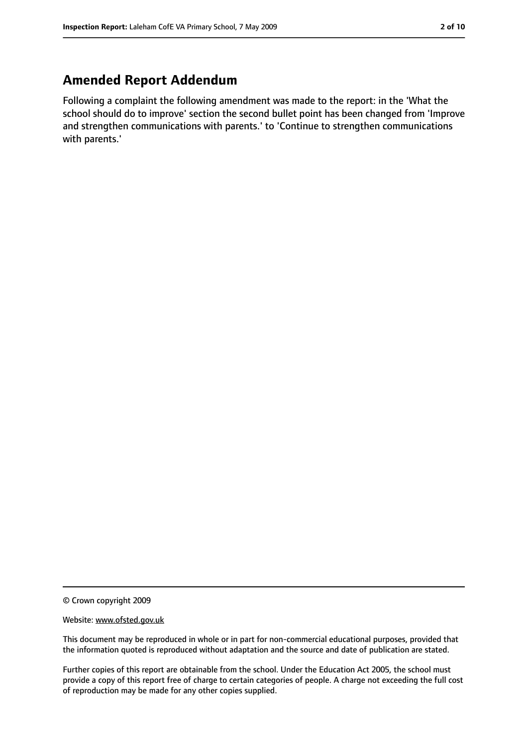# **Amended Report Addendum**

Following a complaint the following amendment was made to the report: in the 'What the school should do to improve' section the second bullet point has been changed from 'Improve and strengthen communications with parents.' to 'Continue to strengthen communications with parents.'

© Crown copyright 2009

Website: www.ofsted.gov.uk

This document may be reproduced in whole or in part for non-commercial educational purposes, provided that the information quoted is reproduced without adaptation and the source and date of publication are stated.

Further copies of this report are obtainable from the school. Under the Education Act 2005, the school must provide a copy of this report free of charge to certain categories of people. A charge not exceeding the full cost of reproduction may be made for any other copies supplied.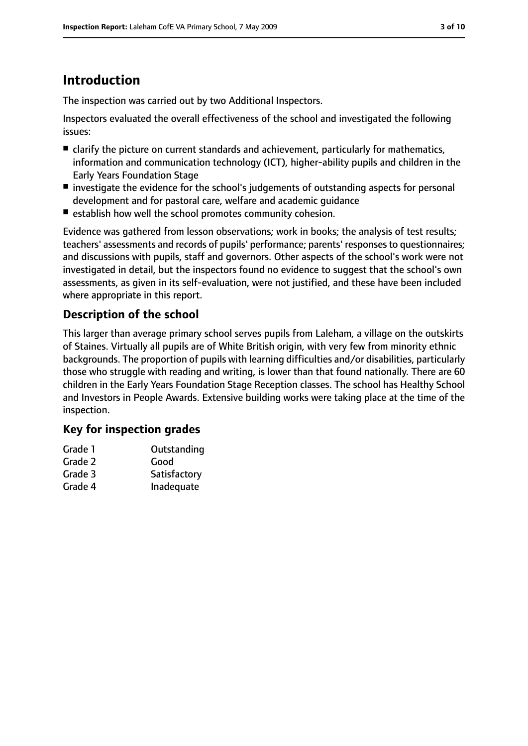# **Introduction**

The inspection was carried out by two Additional Inspectors.

Inspectors evaluated the overall effectiveness of the school and investigated the following issues:

- clarify the picture on current standards and achievement, particularly for mathematics, information and communication technology (ICT), higher-ability pupils and children in the Early Years Foundation Stage
- investigate the evidence for the school's judgements of outstanding aspects for personal development and for pastoral care, welfare and academic guidance
- establish how well the school promotes community cohesion.

Evidence was gathered from lesson observations; work in books; the analysis of test results; teachers' assessments and records of pupils' performance; parents' responsesto questionnaires; and discussions with pupils, staff and governors. Other aspects of the school's work were not investigated in detail, but the inspectors found no evidence to suggest that the school's own assessments, as given in its self-evaluation, were not justified, and these have been included where appropriate in this report.

# **Description of the school**

This larger than average primary school serves pupils from Laleham, a village on the outskirts of Staines. Virtually all pupils are of White British origin, with very few from minority ethnic backgrounds. The proportion of pupils with learning difficulties and/or disabilities, particularly those who struggle with reading and writing, is lower than that found nationally. There are 60 children in the Early Years Foundation Stage Reception classes. The school has Healthy School and Investors in People Awards. Extensive building works were taking place at the time of the inspection.

## **Key for inspection grades**

| Grade 1 | Outstanding  |
|---------|--------------|
| Grade 2 | Good         |
| Grade 3 | Satisfactory |
| Grade 4 | Inadequate   |
|         |              |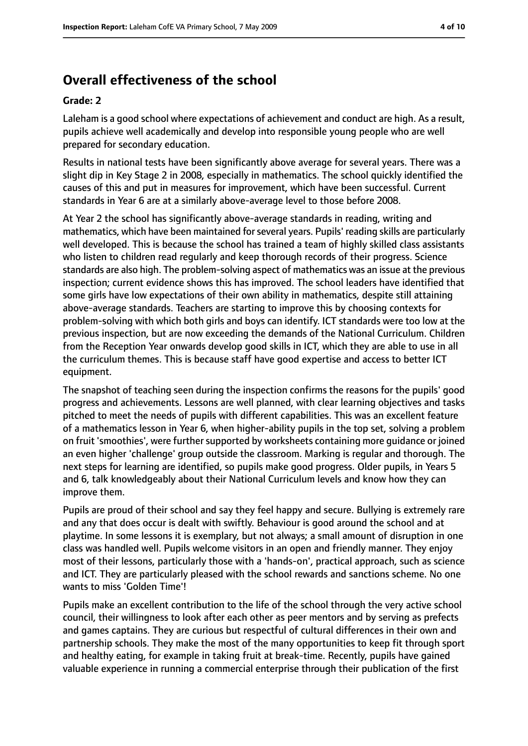# **Overall effectiveness of the school**

#### **Grade: 2**

Laleham is a good school where expectations of achievement and conduct are high. As a result, pupils achieve well academically and develop into responsible young people who are well prepared for secondary education.

Results in national tests have been significantly above average for several years. There was a slight dip in Key Stage 2 in 2008, especially in mathematics. The school quickly identified the causes of this and put in measures for improvement, which have been successful. Current standards in Year 6 are at a similarly above-average level to those before 2008.

At Year 2 the school has significantly above-average standards in reading, writing and mathematics, which have been maintained forseveral years. Pupils' reading skills are particularly well developed. This is because the school has trained a team of highly skilled class assistants who listen to children read regularly and keep thorough records of their progress. Science standards are also high. The problem-solving aspect of mathematics was an issue at the previous inspection; current evidence shows this has improved. The school leaders have identified that some girls have low expectations of their own ability in mathematics, despite still attaining above-average standards. Teachers are starting to improve this by choosing contexts for problem-solving with which both girls and boys can identify. ICT standards were too low at the previous inspection, but are now exceeding the demands of the National Curriculum. Children from the Reception Year onwards develop good skills in ICT, which they are able to use in all the curriculum themes. This is because staff have good expertise and access to better ICT equipment.

The snapshot of teaching seen during the inspection confirms the reasons for the pupils' good progress and achievements. Lessons are well planned, with clear learning objectives and tasks pitched to meet the needs of pupils with different capabilities. This was an excellent feature of a mathematics lesson in Year 6, when higher-ability pupils in the top set, solving a problem on fruit 'smoothies', were further supported by worksheets containing more guidance or joined an even higher 'challenge' group outside the classroom. Marking is regular and thorough. The next steps for learning are identified, so pupils make good progress. Older pupils, in Years 5 and 6, talk knowledgeably about their National Curriculum levels and know how they can improve them.

Pupils are proud of their school and say they feel happy and secure. Bullying is extremely rare and any that does occur is dealt with swiftly. Behaviour is good around the school and at playtime. In some lessons it is exemplary, but not always; a small amount of disruption in one class was handled well. Pupils welcome visitors in an open and friendly manner. They enjoy most of their lessons, particularly those with a 'hands-on', practical approach, such as science and ICT. They are particularly pleased with the school rewards and sanctions scheme. No one wants to miss 'Golden Time'!

Pupils make an excellent contribution to the life of the school through the very active school council, their willingness to look after each other as peer mentors and by serving as prefects and games captains. They are curious but respectful of cultural differences in their own and partnership schools. They make the most of the many opportunities to keep fit through sport and healthy eating, for example in taking fruit at break-time. Recently, pupils have gained valuable experience in running a commercial enterprise through their publication of the first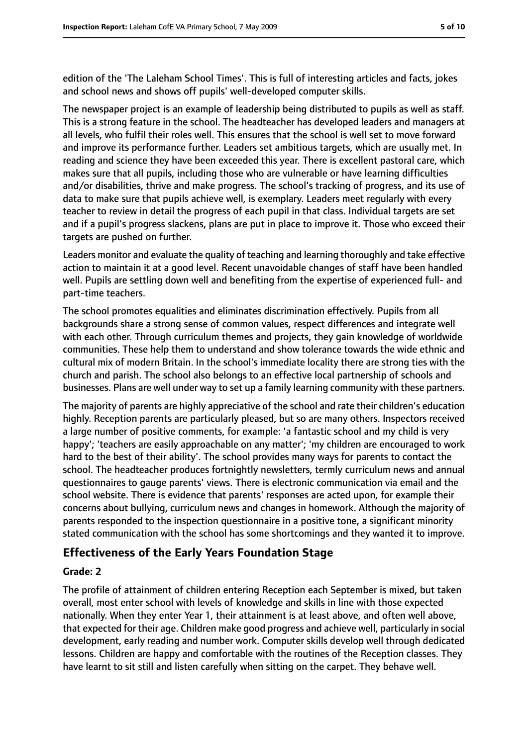edition of the 'The Laleham School Times'. This is full of interesting articles and facts, jokes and school news and shows off pupils' well-developed computer skills.

The newspaper project is an example of leadership being distributed to pupils as well as staff. This is a strong feature in the school. The headteacher has developed leaders and managers at all levels, who fulfil their roles well. This ensures that the school is well set to move forward and improve its performance further. Leaders set ambitious targets, which are usually met. In reading and science they have been exceeded this year. There is excellent pastoral care, which makes sure that all pupils, including those who are vulnerable or have learning difficulties and/or disabilities, thrive and make progress. The school's tracking of progress, and its use of data to make sure that pupils achieve well, is exemplary. Leaders meet regularly with every teacher to review in detail the progress of each pupil in that class. Individual targets are set and if a pupil's progress slackens, plans are put in place to improve it. Those who exceed their targets are pushed on further.

Leaders monitor and evaluate the quality of teaching and learning thoroughly and take effective action to maintain it at a good level. Recent unavoidable changes of staff have been handled well. Pupils are settling down well and benefiting from the expertise of experienced full- and part-time teachers.

The school promotes equalities and eliminates discrimination effectively. Pupils from all backgrounds share a strong sense of common values, respect differences and integrate well with each other. Through curriculum themes and projects, they gain knowledge of worldwide communities. These help them to understand and show tolerance towards the wide ethnic and cultural mix of modern Britain. In the school's immediate locality there are strong ties with the church and parish. The school also belongs to an effective local partnership of schools and businesses. Plans are well under way to set up a family learning community with these partners.

The majority of parents are highly appreciative of the school and rate their children's education highly. Reception parents are particularly pleased, but so are many others. Inspectors received a large number of positive comments, for example: 'a fantastic school and my child is very happy'; 'teachers are easily approachable on any matter'; 'my children are encouraged to work hard to the best of their ability'. The school provides many ways for parents to contact the school. The headteacher produces fortnightly newsletters, termly curriculum news and annual questionnaires to gauge parents' views. There is electronic communication via email and the school website. There is evidence that parents' responses are acted upon, for example their concerns about bullying, curriculum news and changes in homework. Although the majority of parents responded to the inspection questionnaire in a positive tone, a significant minority stated communication with the school has some shortcomings and they wanted it to improve.

## **Effectiveness of the Early Years Foundation Stage**

#### **Grade: 2**

The profile of attainment of children entering Reception each September is mixed, but taken overall, most enter school with levels of knowledge and skills in line with those expected nationally. When they enter Year 1, their attainment is at least above, and often well above, that expected for their age. Children make good progress and achieve well, particularly in social development, early reading and number work. Computer skills develop well through dedicated lessons. Children are happy and comfortable with the routines of the Reception classes. They have learnt to sit still and listen carefully when sitting on the carpet. They behave well.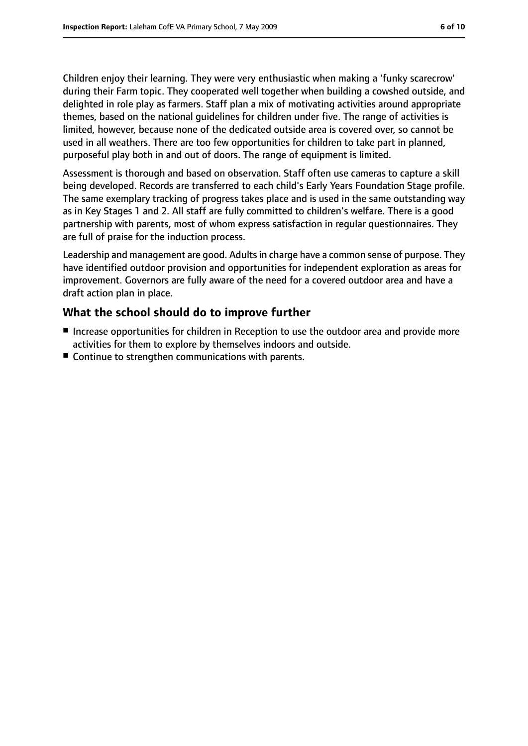Children enjoy their learning. They were very enthusiastic when making a 'funky scarecrow' during their Farm topic. They cooperated well together when building a cowshed outside, and delighted in role play as farmers. Staff plan a mix of motivating activities around appropriate themes, based on the national guidelines for children under five. The range of activities is limited, however, because none of the dedicated outside area is covered over, so cannot be used in all weathers. There are too few opportunities for children to take part in planned, purposeful play both in and out of doors. The range of equipment is limited.

Assessment is thorough and based on observation. Staff often use cameras to capture a skill being developed. Records are transferred to each child's Early Years Foundation Stage profile. The same exemplary tracking of progress takes place and is used in the same outstanding way as in Key Stages 1 and 2. All staff are fully committed to children's welfare. There is a good partnership with parents, most of whom express satisfaction in regular questionnaires. They are full of praise for the induction process.

Leadership and management are good. Adultsin charge have a common sense of purpose. They have identified outdoor provision and opportunities for independent exploration as areas for improvement. Governors are fully aware of the need for a covered outdoor area and have a draft action plan in place.

## **What the school should do to improve further**

- Increase opportunities for children in Reception to use the outdoor area and provide more activities for them to explore by themselves indoors and outside.
- Continue to strengthen communications with parents.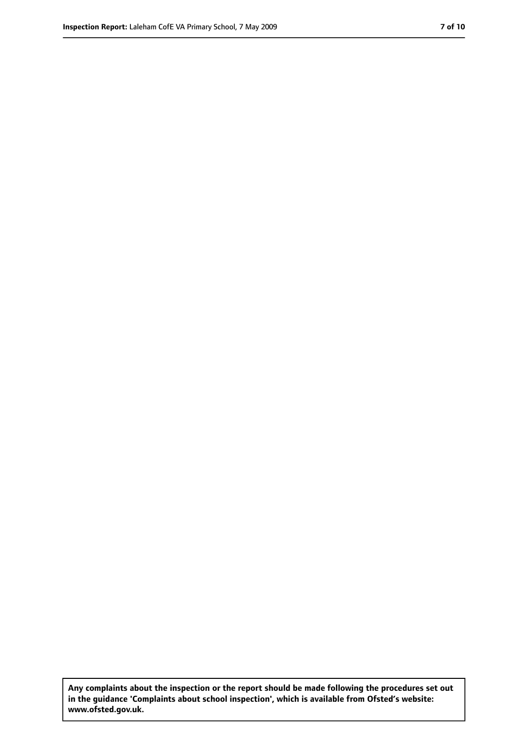**Any complaints about the inspection or the report should be made following the procedures set out in the guidance 'Complaints about school inspection', which is available from Ofsted's website: www.ofsted.gov.uk.**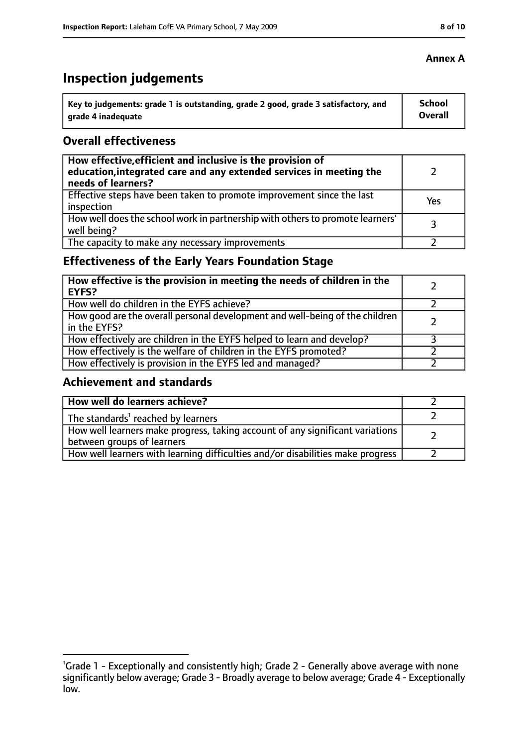# **Inspection judgements**

| \ Key to judgements: grade 1 is outstanding, grade 2 good, grade 3 satisfactory, and | <b>School</b>  |
|--------------------------------------------------------------------------------------|----------------|
| arade 4 inadequate                                                                   | <b>Overall</b> |

## **Overall effectiveness**

| How effective, efficient and inclusive is the provision of<br>education, integrated care and any extended services in meeting the<br>needs of learners? |     |
|---------------------------------------------------------------------------------------------------------------------------------------------------------|-----|
| Effective steps have been taken to promote improvement since the last<br>inspection                                                                     | Yes |
| How well does the school work in partnership with others to promote learners'<br>well being?                                                            | २   |
| The capacity to make any necessary improvements                                                                                                         |     |

# **Effectiveness of the Early Years Foundation Stage**

| How effective is the provision in meeting the needs of children in the<br><b>EYFS?</b>       |  |
|----------------------------------------------------------------------------------------------|--|
| How well do children in the EYFS achieve?                                                    |  |
| How good are the overall personal development and well-being of the children<br>in the EYFS? |  |
| How effectively are children in the EYFS helped to learn and develop?                        |  |
| How effectively is the welfare of children in the EYFS promoted?                             |  |
| How effectively is provision in the EYFS led and managed?                                    |  |

#### **Achievement and standards**

| How well do learners achieve?                                                  |  |
|--------------------------------------------------------------------------------|--|
| $\vert$ The standards <sup>1</sup> reached by learners                         |  |
| How well learners make progress, taking account of any significant variations  |  |
| between groups of learners                                                     |  |
| How well learners with learning difficulties and/or disabilities make progress |  |

## **Annex A**

<sup>&</sup>lt;sup>1</sup>Grade 1 - Exceptionally and consistently high; Grade 2 - Generally above average with none significantly below average; Grade 3 - Broadly average to below average; Grade 4 - Exceptionally low.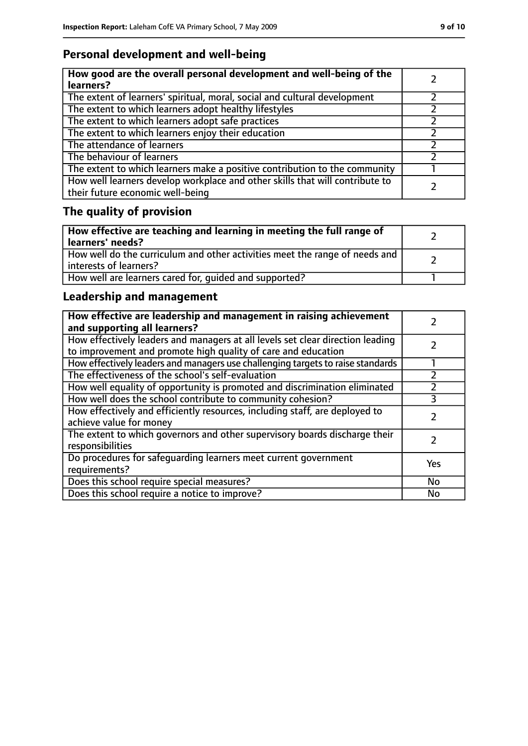# **Personal development and well-being**

| How good are the overall personal development and well-being of the<br>learners?                                 |  |
|------------------------------------------------------------------------------------------------------------------|--|
| The extent of learners' spiritual, moral, social and cultural development                                        |  |
| The extent to which learners adopt healthy lifestyles                                                            |  |
| The extent to which learners adopt safe practices                                                                |  |
| The extent to which learners enjoy their education                                                               |  |
| The attendance of learners                                                                                       |  |
| The behaviour of learners                                                                                        |  |
| The extent to which learners make a positive contribution to the community                                       |  |
| How well learners develop workplace and other skills that will contribute to<br>their future economic well-being |  |

# **The quality of provision**

| How effective are teaching and learning in meeting the full range of<br>learners' needs?              |  |
|-------------------------------------------------------------------------------------------------------|--|
| How well do the curriculum and other activities meet the range of needs and<br>interests of learners? |  |
| How well are learners cared for, quided and supported?                                                |  |

# **Leadership and management**

| How effective are leadership and management in raising achievement<br>and supporting all learners?                                              |     |
|-------------------------------------------------------------------------------------------------------------------------------------------------|-----|
| How effectively leaders and managers at all levels set clear direction leading<br>to improvement and promote high quality of care and education |     |
| How effectively leaders and managers use challenging targets to raise standards                                                                 |     |
| The effectiveness of the school's self-evaluation                                                                                               |     |
| How well equality of opportunity is promoted and discrimination eliminated                                                                      |     |
| How well does the school contribute to community cohesion?                                                                                      | 3   |
| How effectively and efficiently resources, including staff, are deployed to<br>achieve value for money                                          |     |
| The extent to which governors and other supervisory boards discharge their<br>responsibilities                                                  |     |
| Do procedures for safeguarding learners meet current government<br>requirements?                                                                | Yes |
| Does this school require special measures?                                                                                                      | No  |
| Does this school require a notice to improve?                                                                                                   | No  |